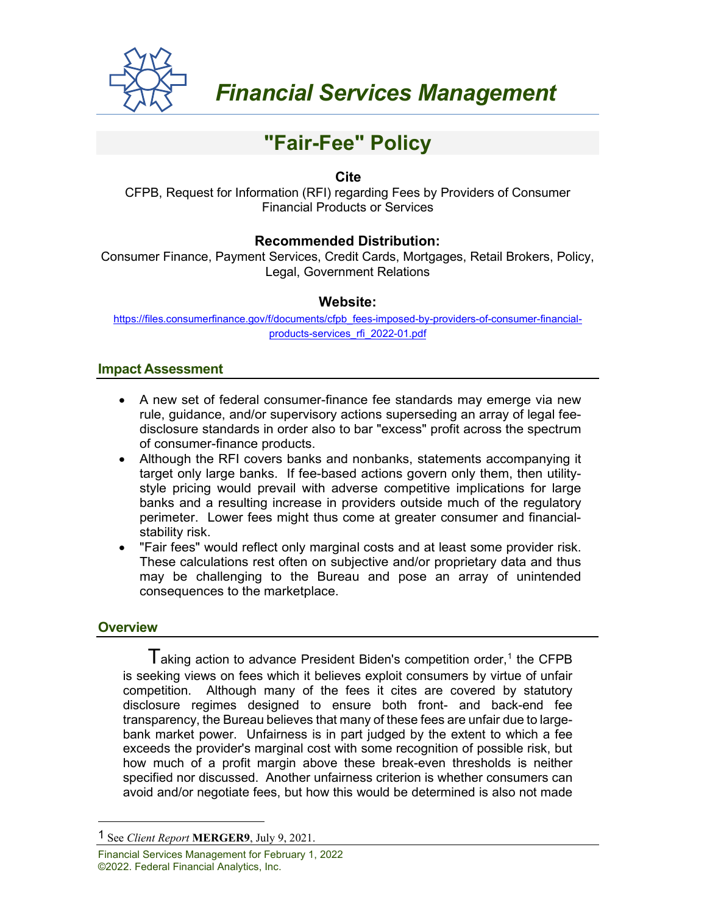

# **"Fair-Fee" Policy**

## **Cite**

CFPB, Request for Information (RFI) regarding Fees by Providers of Consumer Financial Products or Services

## **Recommended Distribution:**

Consumer Finance, Payment Services, Credit Cards, Mortgages, Retail Brokers, Policy, Legal, Government Relations

### **Website:**

[https://files.consumerfinance.gov/f/documents/cfpb\\_fees-imposed-by-providers-of-consumer-financial](https://files.consumerfinance.gov/f/documents/cfpb_fees-imposed-by-providers-of-consumer-financial-products-services_rfi_2022-01.pdf)[products-services\\_rfi\\_2022-01.pdf](https://files.consumerfinance.gov/f/documents/cfpb_fees-imposed-by-providers-of-consumer-financial-products-services_rfi_2022-01.pdf)

#### **Impact Assessment**

- A new set of federal consumer-finance fee standards may emerge via new rule, guidance, and/or supervisory actions superseding an array of legal feedisclosure standards in order also to bar "excess" profit across the spectrum of consumer-finance products.
- Although the RFI covers banks and nonbanks, statements accompanying it target only large banks. If fee-based actions govern only them, then utilitystyle pricing would prevail with adverse competitive implications for large banks and a resulting increase in providers outside much of the regulatory perimeter. Lower fees might thus come at greater consumer and financialstability risk.
- "Fair fees" would reflect only marginal costs and at least some provider risk. These calculations rest often on subjective and/or proprietary data and thus may be challenging to the Bureau and pose an array of unintended consequences to the marketplace.

### **Overview**

 $\mathsf I$  aking action to advance President Biden's competition order,<sup>[1](#page-0-0)</sup> the CFPB is seeking views on fees which it believes exploit consumers by virtue of unfair competition. Although many of the fees it cites are covered by statutory disclosure regimes designed to ensure both front- and back-end fee transparency, the Bureau believes that many of these fees are unfair due to largebank market power. Unfairness is in part judged by the extent to which a fee exceeds the provider's marginal cost with some recognition of possible risk, but how much of a profit margin above these break-even thresholds is neither specified nor discussed. Another unfairness criterion is whether consumers can avoid and/or negotiate fees, but how this would be determined is also not made

<span id="page-0-0"></span><sup>1</sup> See *Client Report* **MERGER9**, July 9, 2021.

Financial Services Management for February 1, 2022 ©2022. Federal Financial Analytics, Inc.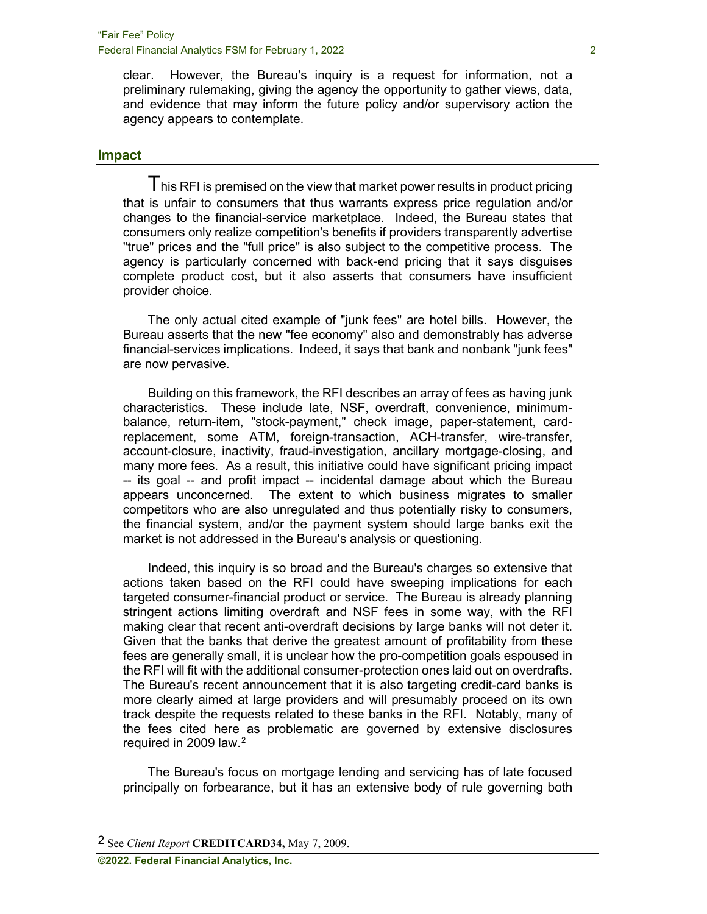clear. However, the Bureau's inquiry is a request for information, not a preliminary rulemaking, giving the agency the opportunity to gather views, data, and evidence that may inform the future policy and/or supervisory action the agency appears to contemplate.

#### **Impact**

 $\mathsf T$  his RFI is premised on the view that market power results in product pricing that is unfair to consumers that thus warrants express price regulation and/or changes to the financial-service marketplace. Indeed, the Bureau states that consumers only realize competition's benefits if providers transparently advertise "true" prices and the "full price" is also subject to the competitive process. The agency is particularly concerned with back-end pricing that it says disguises complete product cost, but it also asserts that consumers have insufficient provider choice.

The only actual cited example of "junk fees" are hotel bills. However, the Bureau asserts that the new "fee economy" also and demonstrably has adverse financial-services implications. Indeed, it says that bank and nonbank "junk fees" are now pervasive.

Building on this framework, the RFI describes an array of fees as having junk characteristics. These include late, NSF, overdraft, convenience, minimumbalance, return-item, "stock-payment," check image, paper-statement, cardreplacement, some ATM, foreign-transaction, ACH-transfer, wire-transfer, account-closure, inactivity, fraud-investigation, ancillary mortgage-closing, and many more fees. As a result, this initiative could have significant pricing impact -- its goal -- and profit impact -- incidental damage about which the Bureau appears unconcerned. The extent to which business migrates to smaller competitors who are also unregulated and thus potentially risky to consumers, the financial system, and/or the payment system should large banks exit the market is not addressed in the Bureau's analysis or questioning.

Indeed, this inquiry is so broad and the Bureau's charges so extensive that actions taken based on the RFI could have sweeping implications for each targeted consumer-financial product or service. The Bureau is already planning stringent actions limiting overdraft and NSF fees in some way, with the RFI making clear that recent anti-overdraft decisions by large banks will not deter it. Given that the banks that derive the greatest amount of profitability from these fees are generally small, it is unclear how the pro-competition goals espoused in the RFI will fit with the additional consumer-protection ones laid out on overdrafts. The Bureau's recent announcement that it is also targeting credit-card banks is more clearly aimed at large providers and will presumably proceed on its own track despite the requests related to these banks in the RFI. Notably, many of the fees cited here as problematic are governed by extensive disclosures required in 2009 law.[2](#page-1-0)

The Bureau's focus on mortgage lending and servicing has of late focused principally on forbearance, but it has an extensive body of rule governing both

<span id="page-1-0"></span><sup>2</sup> See *Client Report* **CREDITCARD34,** May 7, 2009.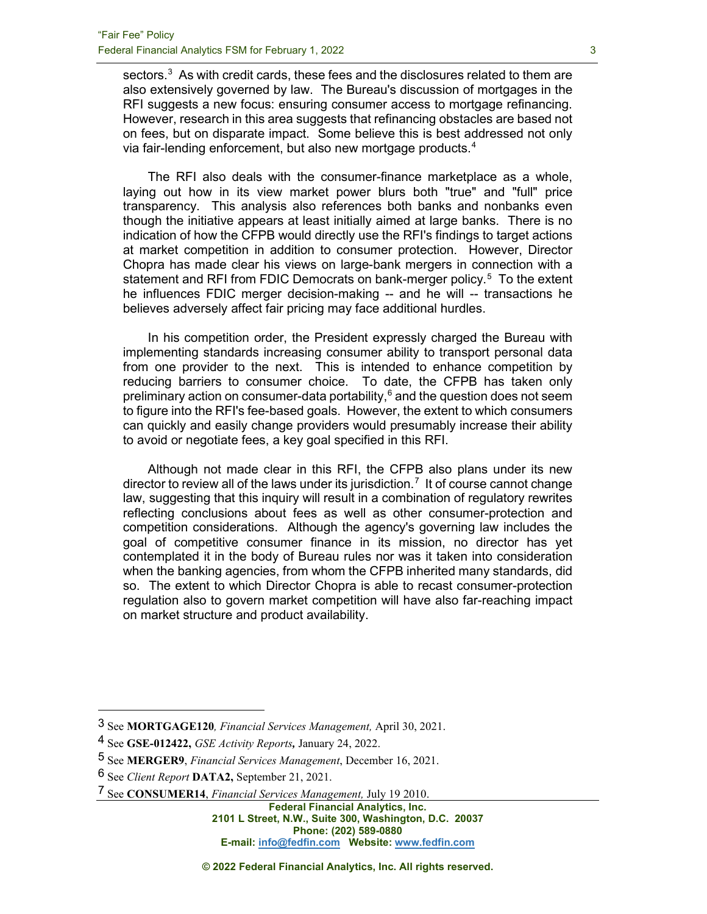sectors.<sup>[3](#page-2-0)</sup> As with credit cards, these fees and the disclosures related to them are also extensively governed by law. The Bureau's discussion of mortgages in the RFI suggests a new focus: ensuring consumer access to mortgage refinancing. However, research in this area suggests that refinancing obstacles are based not on fees, but on disparate impact. Some believe this is best addressed not only via fair-lending enforcement, but also new mortgage products.[4](#page-2-1)

The RFI also deals with the consumer-finance marketplace as a whole, laying out how in its view market power blurs both "true" and "full" price transparency. This analysis also references both banks and nonbanks even though the initiative appears at least initially aimed at large banks. There is no indication of how the CFPB would directly use the RFI's findings to target actions at market competition in addition to consumer protection. However, Director Chopra has made clear his views on large-bank mergers in connection with a statement and RFI from FDIC Democrats on bank-merger policy.<sup>[5](#page-2-2)</sup> To the extent he influences FDIC merger decision-making -- and he will -- transactions he believes adversely affect fair pricing may face additional hurdles.

In his competition order, the President expressly charged the Bureau with implementing standards increasing consumer ability to transport personal data from one provider to the next. This is intended to enhance competition by reducing barriers to consumer choice. To date, the CFPB has taken only preliminary action on consumer-data portability, $6$  and the question does not seem to figure into the RFI's fee-based goals. However, the extent to which consumers can quickly and easily change providers would presumably increase their ability to avoid or negotiate fees, a key goal specified in this RFI.

Although not made clear in this RFI, the CFPB also plans under its new director to review all of the laws under its jurisdiction. $^7\,$  $^7\,$  $^7\,$  It of course cannot change law, suggesting that this inquiry will result in a combination of regulatory rewrites reflecting conclusions about fees as well as other consumer-protection and competition considerations. Although the agency's governing law includes the goal of competitive consumer finance in its mission, no director has yet contemplated it in the body of Bureau rules nor was it taken into consideration when the banking agencies, from whom the CFPB inherited many standards, did so. The extent to which Director Chopra is able to recast consumer-protection regulation also to govern market competition will have also far-reaching impact on market structure and product availability.

<span id="page-2-0"></span><sup>3</sup> See **MORTGAGE120***, Financial Services Management,* April 30, 2021.

<span id="page-2-1"></span><sup>4</sup> See **GSE-012422,** *GSE Activity Reports,* January 24, 2022.

<span id="page-2-2"></span><sup>5</sup> See **MERGER9**, *Financial Services Management*, December 16, 2021.

<span id="page-2-3"></span><sup>6</sup> See *Client Report* **DATA2,** September 21, 2021.

<span id="page-2-4"></span><sup>7</sup> See **CONSUMER14**, *Financial Services Management,* July 19 2010.

**Federal Financial Analytics, Inc. 2101 L Street, N.W., Suite 300, Washington, D.C. 20037 Phone: (202) 589-0880 E-mail: [info@fedfin.com](mailto:info@fedfin.com) Website: [www.fedfin.com](http://www.fedfin.com/)**